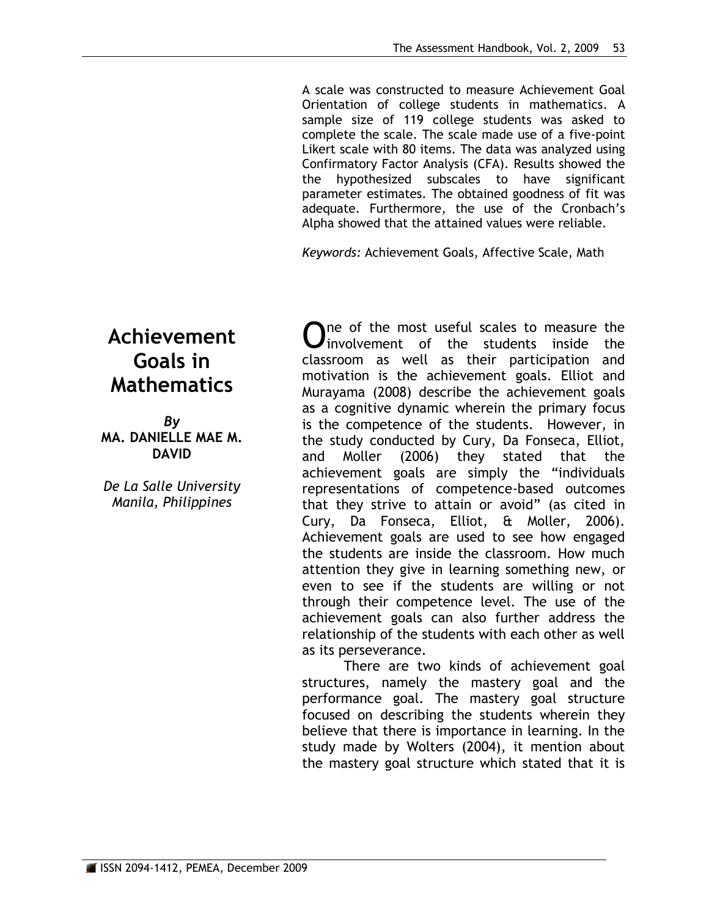A scale was constructed to measure Achievement Goal Orientation of college students in mathematics. A sample size of 119 college students was asked to complete the scale. The scale made use of a five-point Likert scale with 80 items. The data was analyzed using Confirmatory Factor Analysis (CFA). Results showed the the hypothesized subscales to have significant parameter estimates. The obtained goodness of fit was adequate. Furthermore, the use of the Cronbach's Alpha showed that the attained values were reliable.

*Keywords:* Achievement Goals, Affective Scale, Math

# **Achievement Goals in Mathematics**

*By* **MA. DANIELLE MAE M. DAVID**

*De La Salle University Manila, Philippines*

One of the most useful scales to measure the<br>
Univolvement of the students inside the  $\blacktriangleright$  involvement of the students inside the classroom as well as their participation and motivation is the achievement goals. Elliot and Murayama (2008) describe the achievement goals as a cognitive dynamic wherein the primary focus is the competence of the students. However, in the study conducted by Cury, Da Fonseca, Elliot, and Moller (2006) they stated that the achievement goals are simply the "individuals representations of competence-based outcomes that they strive to attain or avoid" (as cited in Cury, Da Fonseca, Elliot, & Moller, 2006). Achievement goals are used to see how engaged the students are inside the classroom. How much attention they give in learning something new, or even to see if the students are willing or not through their competence level. The use of the achievement goals can also further address the relationship of the students with each other as well as its perseverance.

There are two kinds of achievement goal structures, namely the mastery goal and the performance goal. The mastery goal structure focused on describing the students wherein they believe that there is importance in learning. In the study made by Wolters (2004), it mention about the mastery goal structure which stated that it is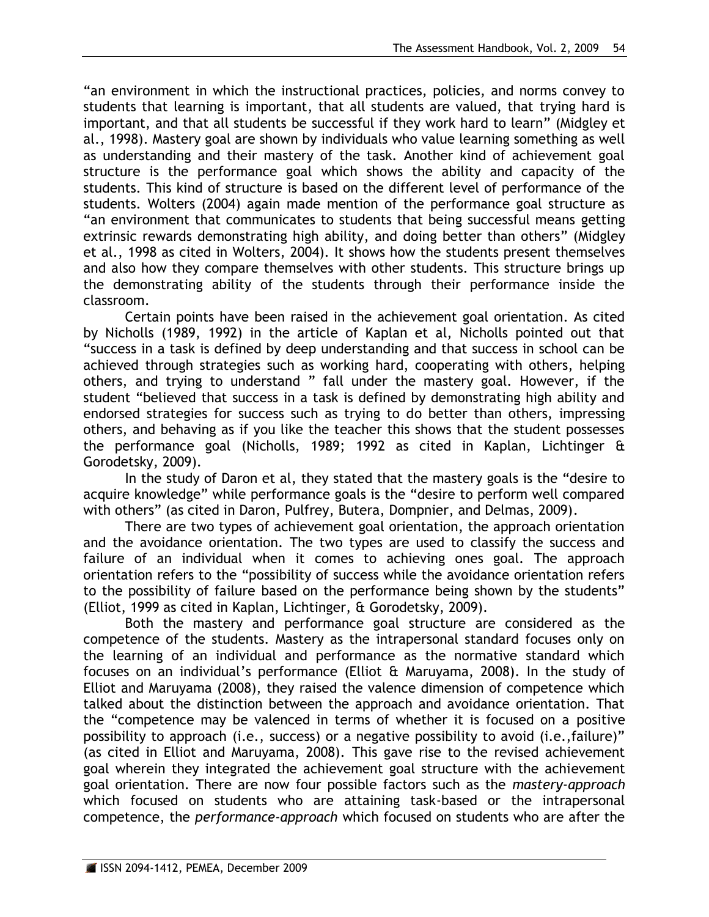"an environment in which the instructional practices, policies, and norms convey to students that learning is important, that all students are valued, that trying hard is important, and that all students be successful if they work hard to learn" (Midgley et al., 1998). Mastery goal are shown by individuals who value learning something as well as understanding and their mastery of the task. Another kind of achievement goal structure is the performance goal which shows the ability and capacity of the students. This kind of structure is based on the different level of performance of the students. Wolters (2004) again made mention of the performance goal structure as "an environment that communicates to students that being successful means getting extrinsic rewards demonstrating high ability, and doing better than others" (Midgley et al., 1998 as cited in Wolters, 2004). It shows how the students present themselves and also how they compare themselves with other students. This structure brings up the demonstrating ability of the students through their performance inside the classroom.

Certain points have been raised in the achievement goal orientation. As cited by Nicholls (1989, 1992) in the article of Kaplan et al, Nicholls pointed out that "success in a task is defined by deep understanding and that success in school can be achieved through strategies such as working hard, cooperating with others, helping others, and trying to understand " fall under the mastery goal. However, if the student "believed that success in a task is defined by demonstrating high ability and endorsed strategies for success such as trying to do better than others, impressing others, and behaving as if you like the teacher this shows that the student possesses the performance goal (Nicholls, 1989; 1992 as cited in Kaplan, Lichtinger & Gorodetsky, 2009).

In the study of Daron et al, they stated that the mastery goals is the "desire to acquire knowledge" while performance goals is the "desire to perform well compared with others" (as cited in Daron, Pulfrey, Butera, Dompnier, and Delmas, 2009).

There are two types of achievement goal orientation, the approach orientation and the avoidance orientation. The two types are used to classify the success and failure of an individual when it comes to achieving ones goal. The approach orientation refers to the "possibility of success while the avoidance orientation refers to the possibility of failure based on the performance being shown by the students" (Elliot, 1999 as cited in Kaplan, Lichtinger, & Gorodetsky, 2009).

Both the mastery and performance goal structure are considered as the competence of the students. Mastery as the intrapersonal standard focuses only on the learning of an individual and performance as the normative standard which focuses on an individual's performance (Elliot & Maruyama, 2008). In the study of Elliot and Maruyama (2008), they raised the valence dimension of competence which talked about the distinction between the approach and avoidance orientation. That the "competence may be valenced in terms of whether it is focused on a positive possibility to approach (i.e., success) or a negative possibility to avoid (i.e.,failure)" (as cited in Elliot and Maruyama, 2008). This gave rise to the revised achievement goal wherein they integrated the achievement goal structure with the achievement goal orientation. There are now four possible factors such as the *mastery-approach* which focused on students who are attaining task-based or the intrapersonal competence, the *performance-approach* which focused on students who are after the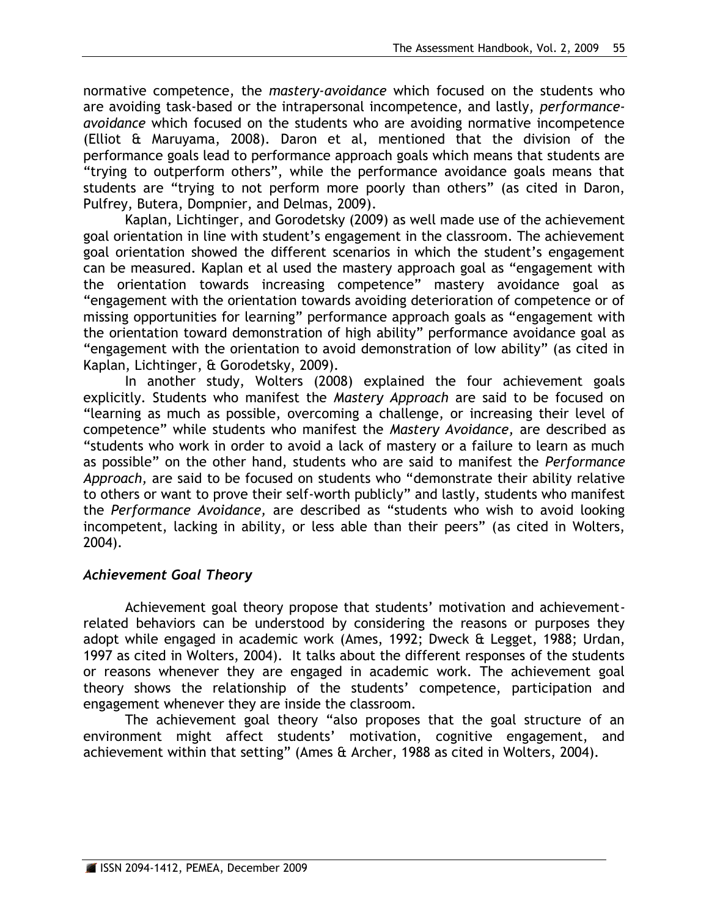normative competence, the *mastery-avoidance* which focused on the students who are avoiding task-based or the intrapersonal incompetence, and lastly, *performanceavoidance* which focused on the students who are avoiding normative incompetence (Elliot & Maruyama, 2008). Daron et al, mentioned that the division of the performance goals lead to performance approach goals which means that students are "trying to outperform others", while the performance avoidance goals means that students are "trying to not perform more poorly than others" (as cited in Daron, Pulfrey, Butera, Dompnier, and Delmas, 2009).

Kaplan, Lichtinger, and Gorodetsky (2009) as well made use of the achievement goal orientation in line with student's engagement in the classroom. The achievement goal orientation showed the different scenarios in which the student's engagement can be measured. Kaplan et al used the mastery approach goal as "engagement with the orientation towards increasing competence" mastery avoidance goal as "engagement with the orientation towards avoiding deterioration of competence or of missing opportunities for learning" performance approach goals as "engagement with the orientation toward demonstration of high ability" performance avoidance goal as "engagement with the orientation to avoid demonstration of low ability" (as cited in Kaplan, Lichtinger, & Gorodetsky, 2009).

In another study, Wolters (2008) explained the four achievement goals explicitly. Students who manifest the *Mastery Approach* are said to be focused on "learning as much as possible, overcoming a challenge, or increasing their level of competence" while students who manifest the *Mastery Avoidance,* are described as "students who work in order to avoid a lack of mastery or a failure to learn as much as possible" on the other hand, students who are said to manifest the *Performance Approach,* are said to be focused on students who "demonstrate their ability relative to others or want to prove their self-worth publicly" and lastly, students who manifest the *Performance Avoidance,* are described as "students who wish to avoid looking incompetent, lacking in ability, or less able than their peers" (as cited in Wolters, 2004).

# *Achievement Goal Theory*

Achievement goal theory propose that students' motivation and achievementrelated behaviors can be understood by considering the reasons or purposes they adopt while engaged in academic work (Ames, 1992; Dweck & Legget, 1988; Urdan, 1997 as cited in Wolters, 2004). It talks about the different responses of the students or reasons whenever they are engaged in academic work. The achievement goal theory shows the relationship of the students' competence, participation and engagement whenever they are inside the classroom.

The achievement goal theory "also proposes that the goal structure of an environment might affect students' motivation, cognitive engagement, and achievement within that setting" (Ames & Archer, 1988 as cited in Wolters, 2004).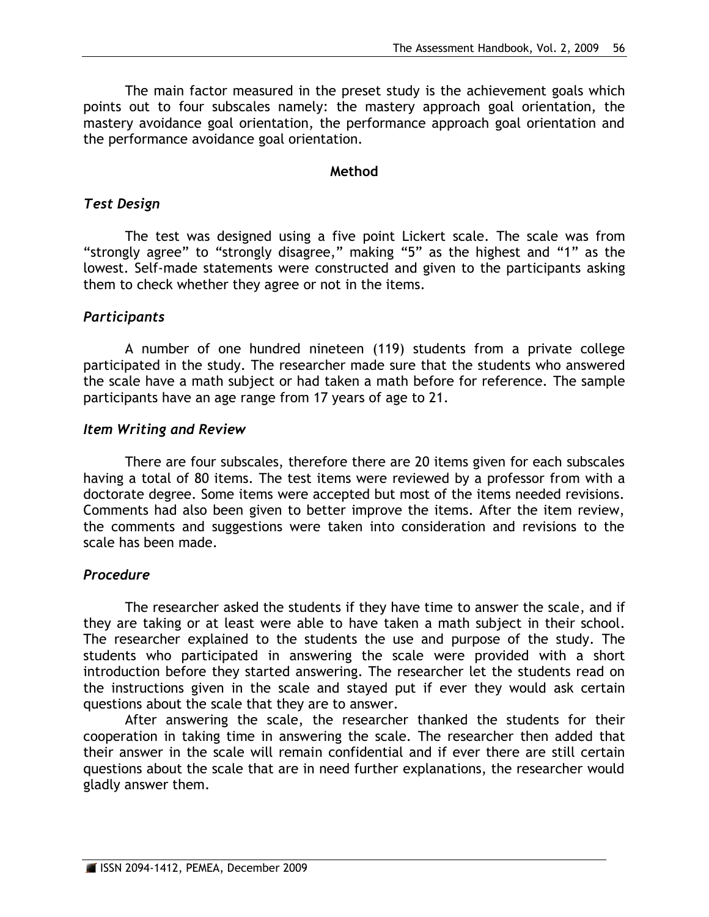The main factor measured in the preset study is the achievement goals which points out to four subscales namely: the mastery approach goal orientation, the mastery avoidance goal orientation, the performance approach goal orientation and the performance avoidance goal orientation.

#### **Method**

## *Test Design*

The test was designed using a five point Lickert scale. The scale was from "strongly agree" to "strongly disagree," making "5" as the highest and "1" as the lowest. Self-made statements were constructed and given to the participants asking them to check whether they agree or not in the items.

# *Participants*

A number of one hundred nineteen (119) students from a private college participated in the study. The researcher made sure that the students who answered the scale have a math subject or had taken a math before for reference. The sample participants have an age range from 17 years of age to 21.

## *Item Writing and Review*

There are four subscales, therefore there are 20 items given for each subscales having a total of 80 items. The test items were reviewed by a professor from with a doctorate degree. Some items were accepted but most of the items needed revisions. Comments had also been given to better improve the items. After the item review, the comments and suggestions were taken into consideration and revisions to the scale has been made.

# *Procedure*

The researcher asked the students if they have time to answer the scale, and if they are taking or at least were able to have taken a math subject in their school. The researcher explained to the students the use and purpose of the study. The students who participated in answering the scale were provided with a short introduction before they started answering. The researcher let the students read on the instructions given in the scale and stayed put if ever they would ask certain questions about the scale that they are to answer.

After answering the scale, the researcher thanked the students for their cooperation in taking time in answering the scale. The researcher then added that their answer in the scale will remain confidential and if ever there are still certain questions about the scale that are in need further explanations, the researcher would gladly answer them.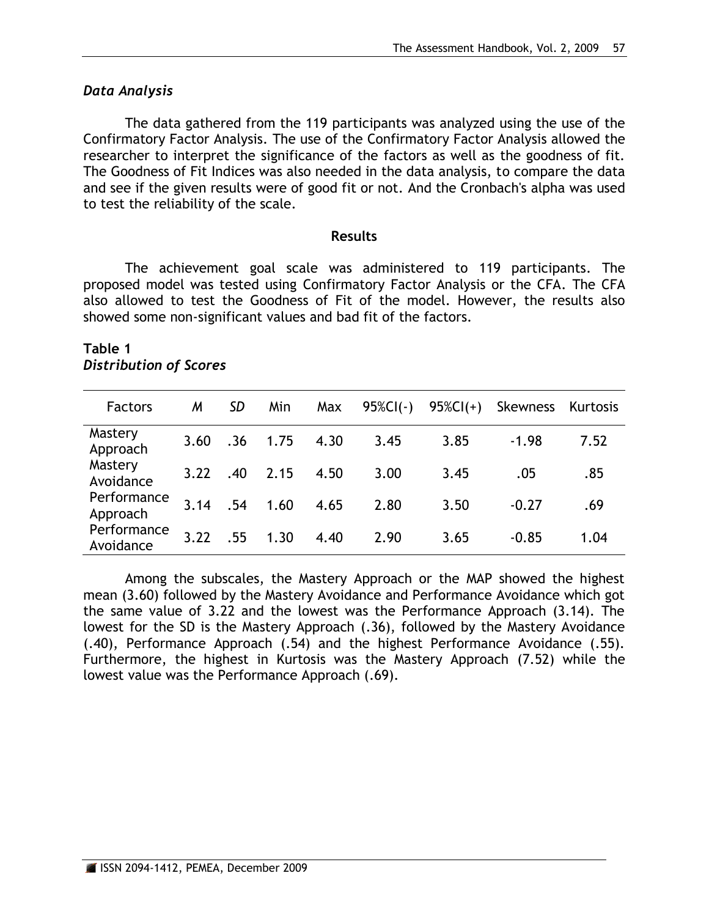## *Data Analysis*

The data gathered from the 119 participants was analyzed using the use of the Confirmatory Factor Analysis. The use of the Confirmatory Factor Analysis allowed the researcher to interpret the significance of the factors as well as the goodness of fit. The Goodness of Fit Indices was also needed in the data analysis, to compare the data and see if the given results were of good fit or not. And the Cronbach's alpha was used to test the reliability of the scale.

#### **Results**

The achievement goal scale was administered to 119 participants. The proposed model was tested using Confirmatory Factor Analysis or the CFA. The CFA also allowed to test the Goodness of Fit of the model. However, the results also showed some non-significant values and bad fit of the factors.

#### **Table 1** *Distribution of Scores*

| <b>Factors</b>           | M    | SD  | Min  | Max  | $95\%CI(-)$ | $95\%CI(+)$ | Skewness | Kurtosis |
|--------------------------|------|-----|------|------|-------------|-------------|----------|----------|
| Mastery<br>Approach      | 3.60 | .36 | 1.75 | 4.30 | 3.45        | 3.85        | $-1.98$  | 7.52     |
| Mastery<br>Avoidance     | 3.22 | .40 | 2.15 | 4.50 | 3.00        | 3.45        | .05      | .85      |
| Performance<br>Approach  | 3.14 | .54 | 1.60 | 4.65 | 2.80        | 3.50        | $-0.27$  | .69      |
| Performance<br>Avoidance | 3.22 | .55 | 1.30 | 4.40 | 2.90        | 3.65        | $-0.85$  | 1.04     |

Among the subscales, the Mastery Approach or the MAP showed the highest mean (3.60) followed by the Mastery Avoidance and Performance Avoidance which got the same value of 3.22 and the lowest was the Performance Approach (3.14). The lowest for the SD is the Mastery Approach (.36), followed by the Mastery Avoidance (.40), Performance Approach (.54) and the highest Performance Avoidance (.55). Furthermore, the highest in Kurtosis was the Mastery Approach (7.52) while the lowest value was the Performance Approach (.69).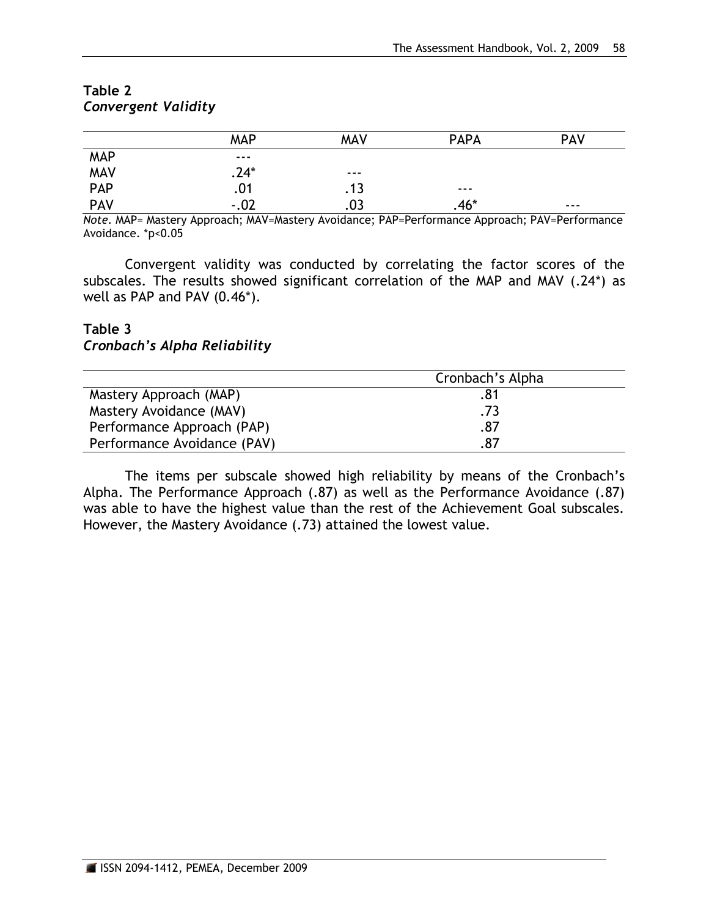|                          | <b>MAP</b> | <b>MAV</b> | <b>PAPA</b> | <b>PAV</b> |  |
|--------------------------|------------|------------|-------------|------------|--|
| MAP<br>MAV<br>PAP<br>PAV | ---        |            |             |            |  |
|                          | $.24*$     | ---        |             |            |  |
|                          | .01        | .13        | ---         |            |  |
|                          | $-.02$     | .03        | $.46*$      | $- - -$    |  |

## **Table 2** *Convergent Validity*

*Note.* MAP= Mastery Approach; MAV=Mastery Avoidance; PAP=Performance Approach; PAV=Performance Avoidance. \*p<0.05

Convergent validity was conducted by correlating the factor scores of the subscales. The results showed significant correlation of the MAP and MAV (.24\*) as well as PAP and PAV (0.46\*).

## **Table 3** *Cronbach's Alpha Reliability*

|                             | Cronbach's Alpha |
|-----------------------------|------------------|
| Mastery Approach (MAP)      | .81              |
| Mastery Avoidance (MAV)     | .73              |
| Performance Approach (PAP)  | .87              |
| Performance Avoidance (PAV) | .87              |

The items per subscale showed high reliability by means of the Cronbach's Alpha. The Performance Approach (.87) as well as the Performance Avoidance (.87) was able to have the highest value than the rest of the Achievement Goal subscales. However, the Mastery Avoidance (.73) attained the lowest value.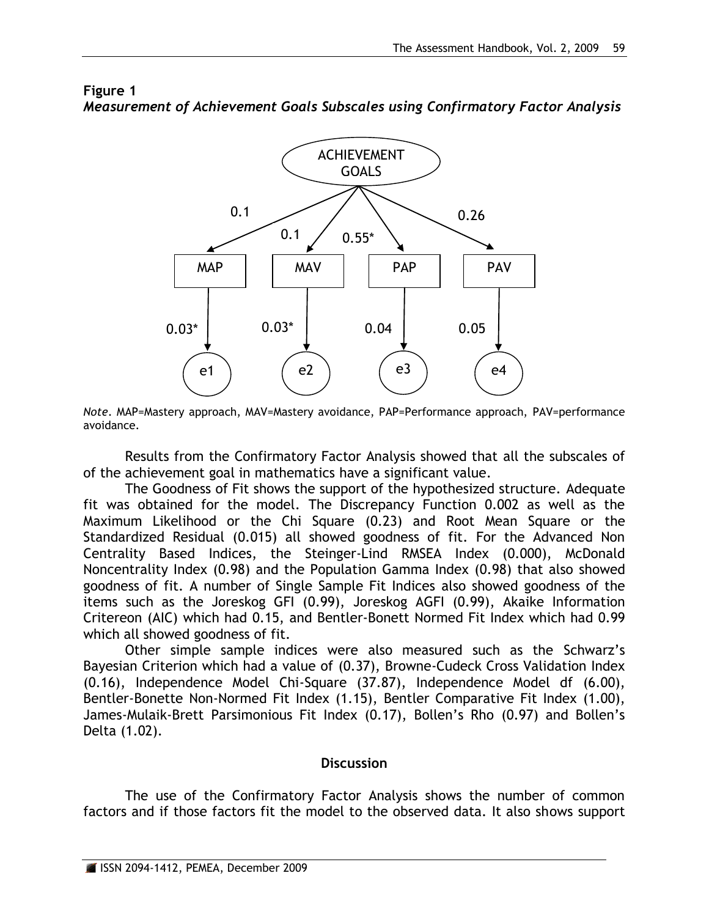

# **Figure 1** *Measurement of Achievement Goals Subscales using Confirmatory Factor Analysis*

*Note*. MAP=Mastery approach, MAV=Mastery avoidance, PAP=Performance approach, PAV=performance avoidance.

Results from the Confirmatory Factor Analysis showed that all the subscales of of the achievement goal in mathematics have a significant value.

The Goodness of Fit shows the support of the hypothesized structure. Adequate fit was obtained for the model. The Discrepancy Function 0.002 as well as the Maximum Likelihood or the Chi Square (0.23) and Root Mean Square or the Standardized Residual (0.015) all showed goodness of fit. For the Advanced Non Centrality Based Indices, the Steinger-Lind RMSEA Index (0.000), McDonald Noncentrality Index (0.98) and the Population Gamma Index (0.98) that also showed goodness of fit. A number of Single Sample Fit Indices also showed goodness of the items such as the Joreskog GFI (0.99), Joreskog AGFI (0.99), Akaike Information Critereon (AIC) which had 0.15, and Bentler-Bonett Normed Fit Index which had 0.99 which all showed goodness of fit.

Other simple sample indices were also measured such as the Schwarz's Bayesian Criterion which had a value of (0.37), Browne-Cudeck Cross Validation Index (0.16), Independence Model Chi-Square (37.87), Independence Model df (6.00), Bentler-Bonette Non-Normed Fit Index (1.15), Bentler Comparative Fit Index (1.00), James-Mulaik-Brett Parsimonious Fit Index (0.17), Bollen's Rho (0.97) and Bollen's Delta (1.02).

## **Discussion**

The use of the Confirmatory Factor Analysis shows the number of common factors and if those factors fit the model to the observed data. It also shows support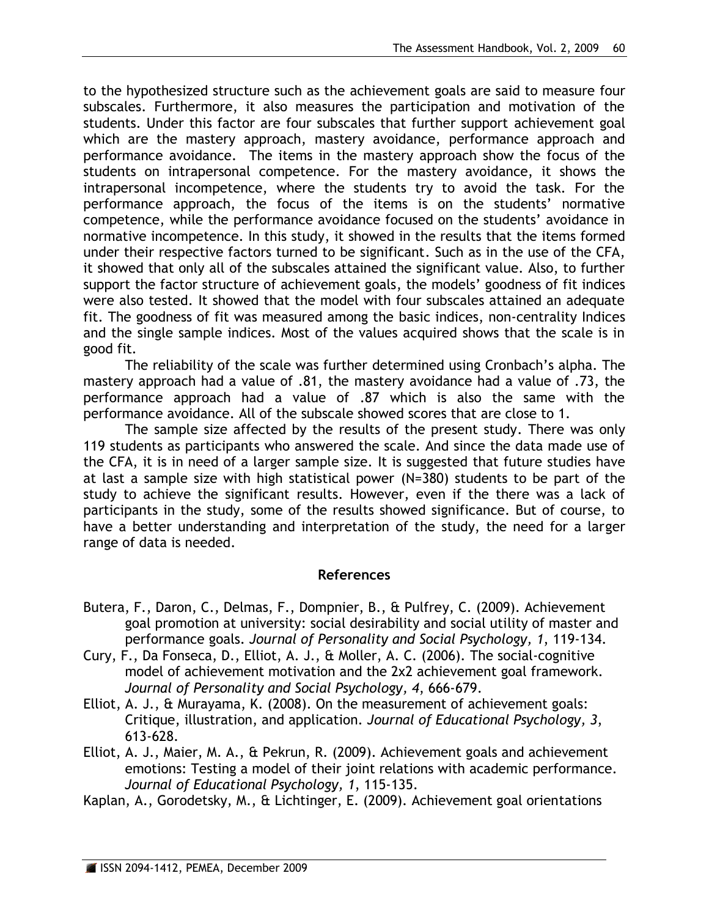to the hypothesized structure such as the achievement goals are said to measure four subscales. Furthermore, it also measures the participation and motivation of the students. Under this factor are four subscales that further support achievement goal which are the mastery approach, mastery avoidance, performance approach and performance avoidance. The items in the mastery approach show the focus of the students on intrapersonal competence. For the mastery avoidance, it shows the intrapersonal incompetence, where the students try to avoid the task. For the performance approach, the focus of the items is on the students' normative competence, while the performance avoidance focused on the students' avoidance in normative incompetence. In this study, it showed in the results that the items formed under their respective factors turned to be significant. Such as in the use of the CFA, it showed that only all of the subscales attained the significant value. Also, to further support the factor structure of achievement goals, the models' goodness of fit indices were also tested. It showed that the model with four subscales attained an adequate fit. The goodness of fit was measured among the basic indices, non-centrality Indices and the single sample indices. Most of the values acquired shows that the scale is in good fit.

The reliability of the scale was further determined using Cronbach's alpha. The mastery approach had a value of .81, the mastery avoidance had a value of .73, the performance approach had a value of .87 which is also the same with the performance avoidance. All of the subscale showed scores that are close to 1.

The sample size affected by the results of the present study. There was only 119 students as participants who answered the scale. And since the data made use of the CFA, it is in need of a larger sample size. It is suggested that future studies have at last a sample size with high statistical power (N=380) students to be part of the study to achieve the significant results. However, even if the there was a lack of participants in the study, some of the results showed significance. But of course, to have a better understanding and interpretation of the study, the need for a larger range of data is needed.

# **References**

- Butera, F., Daron, C., Delmas, F., Dompnier, B., & Pulfrey, C. (2009). Achievement goal promotion at university: social desirability and social utility of master and performance goals. *Journal of Personality and Social Psychology, 1*, 119-134.
- Cury, F., Da Fonseca, D., Elliot, A. J., & Moller, A. C. (2006). The social-cognitive model of achievement motivation and the 2x2 achievement goal framework. *Journal of Personality and Social Psychology, 4*, 666-679.
- Elliot, A. J., & Murayama, K. (2008). On the measurement of achievement goals: Critique, illustration, and application. *Journal of Educational Psychology, 3*, 613-628.
- Elliot, A. J., Maier, M. A., & Pekrun, R. (2009). Achievement goals and achievement emotions: Testing a model of their joint relations with academic performance. *Journal of Educational Psychology, 1*, 115-135.
- Kaplan, A., Gorodetsky, M., & Lichtinger, E. (2009). Achievement goal orientations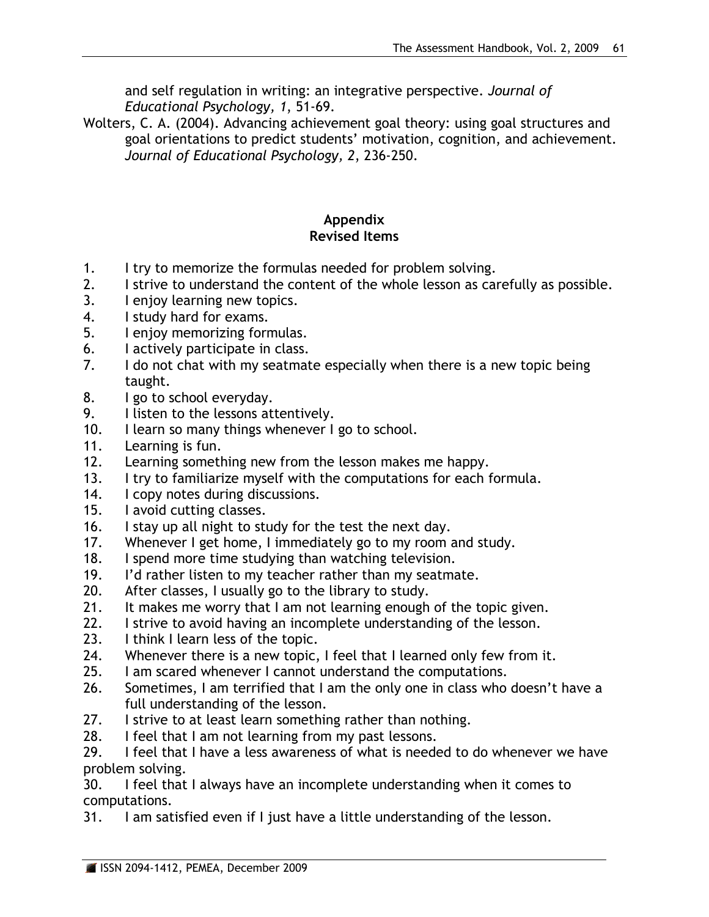and self regulation in writing: an integrative perspective. *Journal of Educational Psychology, 1*, 51-69.

Wolters, C. A. (2004). Advancing achievement goal theory: using goal structures and goal orientations to predict students' motivation, cognition, and achievement. *Journal of Educational Psychology, 2*, 236-250.

# **Appendix Revised Items**

- 1. I try to memorize the formulas needed for problem solving.
- 2. I strive to understand the content of the whole lesson as carefully as possible.
- 3. I enjoy learning new topics.
- 4. I study hard for exams.
- 5. I enjoy memorizing formulas.
- 6. I actively participate in class.
- 7. I do not chat with my seatmate especially when there is a new topic being taught.
- 8. I go to school everyday.
- 9. I listen to the lessons attentively.
- 10. I learn so many things whenever I go to school.
- 11. Learning is fun.
- 12. Learning something new from the lesson makes me happy.
- 13. I try to familiarize myself with the computations for each formula.
- 14. I copy notes during discussions.
- 15. I avoid cutting classes.
- 16. I stay up all night to study for the test the next day.
- 17. Whenever I get home, I immediately go to my room and study.
- 18. I spend more time studying than watching television.
- 19. I'd rather listen to my teacher rather than my seatmate.
- 20. After classes, I usually go to the library to study.
- 21. It makes me worry that I am not learning enough of the topic given.
- 22. I strive to avoid having an incomplete understanding of the lesson.
- 23. I think I learn less of the topic.
- 24. Whenever there is a new topic, I feel that I learned only few from it.
- 25. I am scared whenever I cannot understand the computations.
- 26. Sometimes, I am terrified that I am the only one in class who doesn't have a full understanding of the lesson.
- 27. I strive to at least learn something rather than nothing.
- 28. I feel that I am not learning from my past lessons.

29. I feel that I have a less awareness of what is needed to do whenever we have problem solving.

30. I feel that I always have an incomplete understanding when it comes to computations.

31. I am satisfied even if I just have a little understanding of the lesson.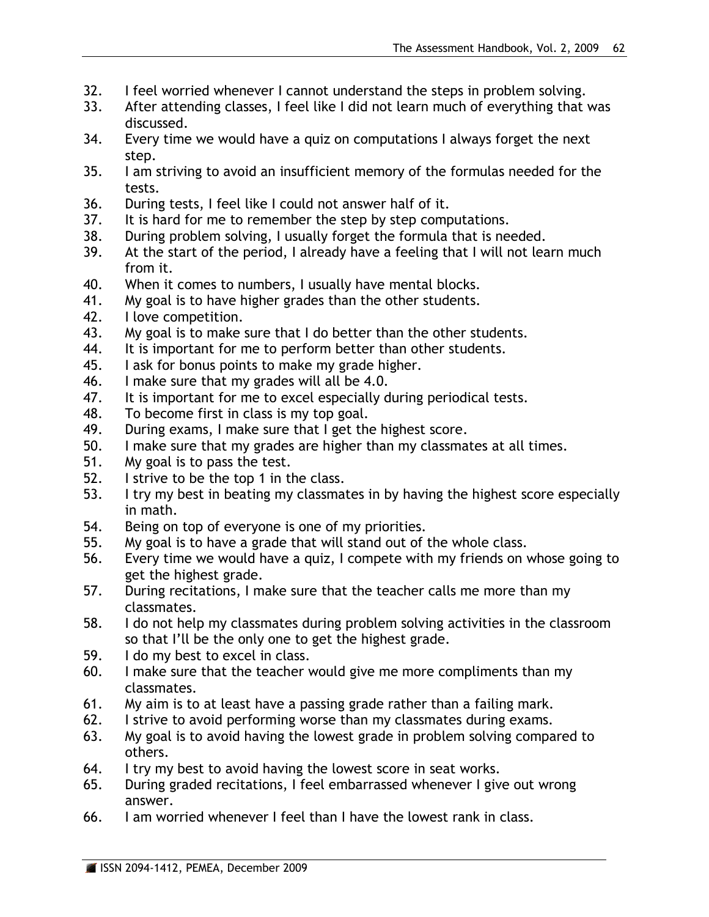- 32. I feel worried whenever I cannot understand the steps in problem solving.
- 33. After attending classes, I feel like I did not learn much of everything that was discussed.
- 34. Every time we would have a quiz on computations I always forget the next step.
- 35. I am striving to avoid an insufficient memory of the formulas needed for the tests.
- 36. During tests, I feel like I could not answer half of it.
- 37. It is hard for me to remember the step by step computations.
- 38. During problem solving, I usually forget the formula that is needed.
- 39. At the start of the period, I already have a feeling that I will not learn much from it.
- 40. When it comes to numbers, I usually have mental blocks.
- 41. My goal is to have higher grades than the other students.
- 42. I love competition.
- 43. My goal is to make sure that I do better than the other students.
- 44. It is important for me to perform better than other students.
- 45. I ask for bonus points to make my grade higher.
- 46. I make sure that my grades will all be 4.0.
- 47. It is important for me to excel especially during periodical tests.
- 48. To become first in class is my top goal.
- 49. During exams, I make sure that I get the highest score.
- 50. I make sure that my grades are higher than my classmates at all times.
- 51. My goal is to pass the test.
- 52. I strive to be the top 1 in the class.
- 53. I try my best in beating my classmates in by having the highest score especially in math.
- 54. Being on top of everyone is one of my priorities.
- 55. My goal is to have a grade that will stand out of the whole class.
- 56. Every time we would have a quiz, I compete with my friends on whose going to get the highest grade.
- 57. During recitations, I make sure that the teacher calls me more than my classmates.
- 58. I do not help my classmates during problem solving activities in the classroom so that I'll be the only one to get the highest grade.
- 59. I do my best to excel in class.
- 60. I make sure that the teacher would give me more compliments than my classmates.
- 61. My aim is to at least have a passing grade rather than a failing mark.
- 62. I strive to avoid performing worse than my classmates during exams.
- 63. My goal is to avoid having the lowest grade in problem solving compared to others.
- 64. I try my best to avoid having the lowest score in seat works.
- 65. During graded recitations, I feel embarrassed whenever I give out wrong answer.
- 66. I am worried whenever I feel than I have the lowest rank in class.